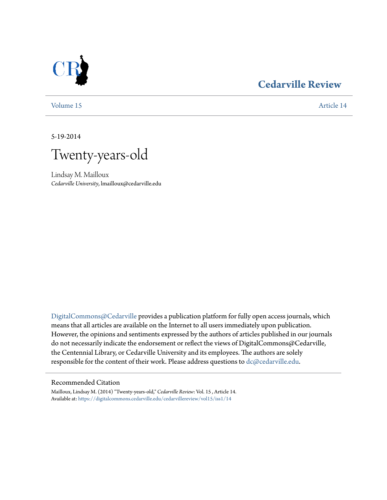## **[Cedarville Review](https://digitalcommons.cedarville.edu/cedarvillereview?utm_source=digitalcommons.cedarville.edu%2Fcedarvillereview%2Fvol15%2Fiss1%2F14&utm_medium=PDF&utm_campaign=PDFCoverPages)**

[Volume 15](https://digitalcommons.cedarville.edu/cedarvillereview/vol15?utm_source=digitalcommons.cedarville.edu%2Fcedarvillereview%2Fvol15%2Fiss1%2F14&utm_medium=PDF&utm_campaign=PDFCoverPages) [Article 14](https://digitalcommons.cedarville.edu/cedarvillereview/vol15/iss1/14?utm_source=digitalcommons.cedarville.edu%2Fcedarvillereview%2Fvol15%2Fiss1%2F14&utm_medium=PDF&utm_campaign=PDFCoverPages)

5-19-2014

Twenty-years-old

Lindsay M. Mailloux *Cedarville University*, lmailloux@cedarville.edu

[DigitalCommons@Cedarville](http://digitalcommons.cedarville.edu) provides a publication platform for fully open access journals, which means that all articles are available on the Internet to all users immediately upon publication. However, the opinions and sentiments expressed by the authors of articles published in our journals do not necessarily indicate the endorsement or reflect the views of DigitalCommons@Cedarville, the Centennial Library, or Cedarville University and its employees. The authors are solely responsible for the content of their work. Please address questions to [dc@cedarville.edu](mailto:dc@cedarville.edu).

### Recommended Citation

Mailloux, Lindsay M. (2014) "Twenty-years-old," *Cedarville Review*: Vol. 15 , Article 14. Available at: [https://digitalcommons.cedarville.edu/cedarvillereview/vol15/iss1/14](https://digitalcommons.cedarville.edu/cedarvillereview/vol15/iss1/14?utm_source=digitalcommons.cedarville.edu%2Fcedarvillereview%2Fvol15%2Fiss1%2F14&utm_medium=PDF&utm_campaign=PDFCoverPages)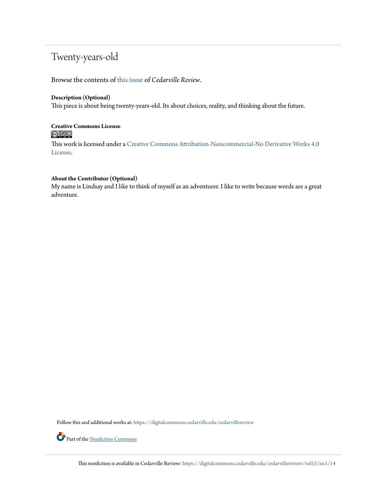# Twenty-years-old

Browse the contents of [this issue](https://digitalcommons.cedarville.edu/cedarvillereview/vol15/iss1) of *Cedarville Review*.

## **Description (Optional)**

This piece is about being twenty-years-old. Its about choices, reality, and thinking about the future.

## **Creative Commons License**  $\bigcirc$   $\circ$

This work is licensed under a [Creative Commons Attribution-Noncommercial-No Derivative Works 4.0](http://creativecommons.org/licenses/by-nc-nd/4.0/) [License.](http://creativecommons.org/licenses/by-nc-nd/4.0/)

## **About the Contributor (Optional)**

My name is Lindsay and I like to think of myself as an adventurer. I like to write because words are a great adventure.

Follow this and additional works at: [https://digitalcommons.cedarville.edu/cedarvillereview](https://digitalcommons.cedarville.edu/cedarvillereview?utm_source=digitalcommons.cedarville.edu%2Fcedarvillereview%2Fvol15%2Fiss1%2F14&utm_medium=PDF&utm_campaign=PDFCoverPages)

Part of the [Nonfiction Commons](http://network.bepress.com/hgg/discipline/1152?utm_source=digitalcommons.cedarville.edu%2Fcedarvillereview%2Fvol15%2Fiss1%2F14&utm_medium=PDF&utm_campaign=PDFCoverPages)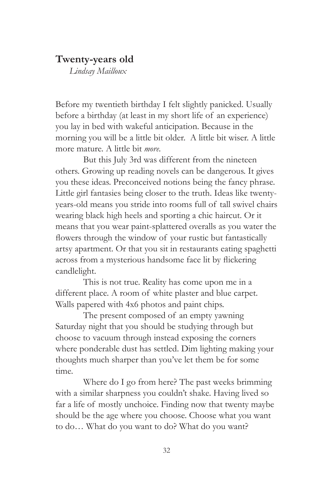## **Twenty-years old**

*Lindsay Mailloux*

Before my twentieth birthday I felt slightly panicked. Usually before a birthday (at least in my short life of an experience) you lay in bed with wakeful anticipation. Because in the morning you will be a little bit older. A little bit wiser. A little more mature. A little bit *more.*

But this July 3rd was different from the nineteen others. Growing up reading novels can be dangerous. It gives you these ideas. Preconceived notions being the fancy phrase. Little girl fantasies being closer to the truth. Ideas like twentyyears-old means you stride into rooms full of tall swivel chairs wearing black high heels and sporting a chic haircut. Or it means that you wear paint-splattered overalls as you water the flowers through the window of your rustic but fantastically artsy apartment. Or that you sit in restaurants eating spaghetti across from a mysterious handsome face lit by flickering candlelight.

This is not true. Reality has come upon me in a different place. A room of white plaster and blue carpet. Walls papered with 4x6 photos and paint chips.

The present composed of an empty yawning Saturday night that you should be studying through but choose to vacuum through instead exposing the corners where ponderable dust has settled. Dim lighting making your thoughts much sharper than you've let them be for some time.

Where do I go from here? The past weeks brimming with a similar sharpness you couldn't shake. Having lived so far a life of mostly unchoice. Finding now that twenty maybe should be the age where you choose. Choose what you want to do… What do you want to do? What do you want?